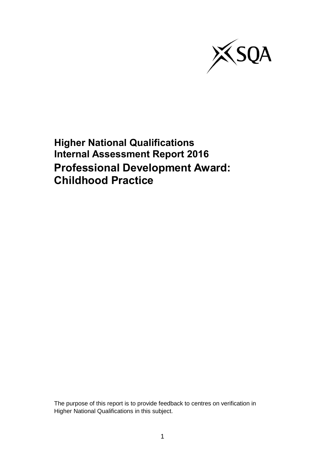

**Higher National Qualifications Internal Assessment Report 2016 Professional Development Award: Childhood Practice**

The purpose of this report is to provide feedback to centres on verification in Higher National Qualifications in this subject.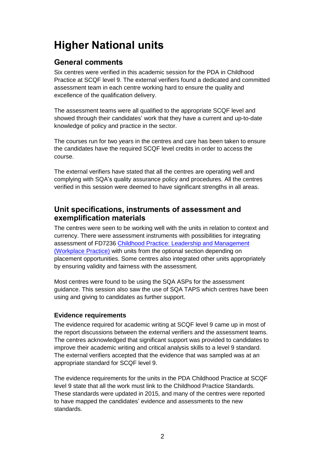# **Higher National units**

# **General comments**

Six centres were verified in this academic session for the PDA in Childhood Practice at SCQF level 9. The external verifiers found a dedicated and committed assessment team in each centre working hard to ensure the quality and excellence of the qualification delivery.

The assessment teams were all qualified to the appropriate SCQF level and showed through their candidates' work that they have a current and up-to-date knowledge of policy and practice in the sector.

The courses run for two years in the centres and care has been taken to ensure the candidates have the required SCQF level credits in order to access the course.

The external verifiers have stated that all the centres are operating well and complying with SQA's quality assurance policy and procedures. All the centres verified in this session were deemed to have significant strengths in all areas.

## **Unit specifications, instruments of assessment and exemplification materials**

The centres were seen to be working well with the units in relation to context and currency. There were assessment instruments with possibilities for integrating assessment of FD7236 [Childhood Practice: Leadership and Management](http://www.sqa.org.uk/sqa/files/hn/FD7236.pdf)  [\(Workplace Practice\)](http://www.sqa.org.uk/sqa/files/hn/FD7236.pdf) with units from the optional section depending on placement opportunities. Some centres also integrated other units appropriately by ensuring validity and fairness with the assessment.

Most centres were found to be using the SQA ASPs for the assessment guidance. This session also saw the use of SQA TAPS which centres have been using and giving to candidates as further support.

## **Evidence requirements**

The evidence required for academic writing at SCQF level 9 came up in most of the report discussions between the external verifiers and the assessment teams. The centres acknowledged that significant support was provided to candidates to improve their academic writing and critical analysis skills to a level 9 standard. The external verifiers accepted that the evidence that was sampled was at an appropriate standard for SCQF level 9.

The evidence requirements for the units in the PDA Childhood Practice at SCQF level 9 state that all the work must link to the Childhood Practice Standards. These standards were updated in 2015, and many of the centres were reported to have mapped the candidates' evidence and assessments to the new standards.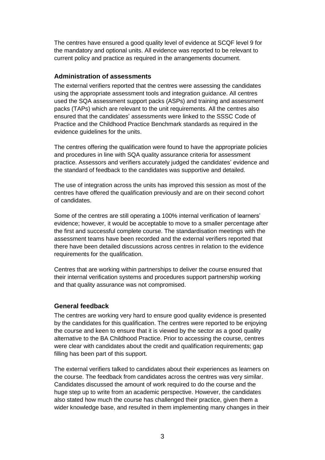The centres have ensured a good quality level of evidence at SCQF level 9 for the mandatory and optional units. All evidence was reported to be relevant to current policy and practice as required in the arrangements document.

#### **Administration of assessments**

The external verifiers reported that the centres were assessing the candidates using the appropriate assessment tools and integration guidance. All centres used the SQA assessment support packs (ASPs) and training and assessment packs (TAPs) which are relevant to the unit requirements. All the centres also ensured that the candidates' assessments were linked to the SSSC Code of Practice and the Childhood Practice Benchmark standards as required in the evidence guidelines for the units.

The centres offering the qualification were found to have the appropriate policies and procedures in line with SQA quality assurance criteria for assessment practice. Assessors and verifiers accurately judged the candidates' evidence and the standard of feedback to the candidates was supportive and detailed.

The use of integration across the units has improved this session as most of the centres have offered the qualification previously and are on their second cohort of candidates.

Some of the centres are still operating a 100% internal verification of learners' evidence; however, it would be acceptable to move to a smaller percentage after the first and successful complete course. The standardisation meetings with the assessment teams have been recorded and the external verifiers reported that there have been detailed discussions across centres in relation to the evidence requirements for the qualification.

Centres that are working within partnerships to deliver the course ensured that their internal verification systems and procedures support partnership working and that quality assurance was not compromised.

#### **General feedback**

The centres are working very hard to ensure good quality evidence is presented by the candidates for this qualification. The centres were reported to be enjoying the course and keen to ensure that it is viewed by the sector as a good quality alternative to the BA Childhood Practice. Prior to accessing the course, centres were clear with candidates about the credit and qualification requirements; gap filling has been part of this support.

The external verifiers talked to candidates about their experiences as learners on the course. The feedback from candidates across the centres was very similar. Candidates discussed the amount of work required to do the course and the huge step up to write from an academic perspective. However, the candidates also stated how much the course has challenged their practice, given them a wider knowledge base, and resulted in them implementing many changes in their